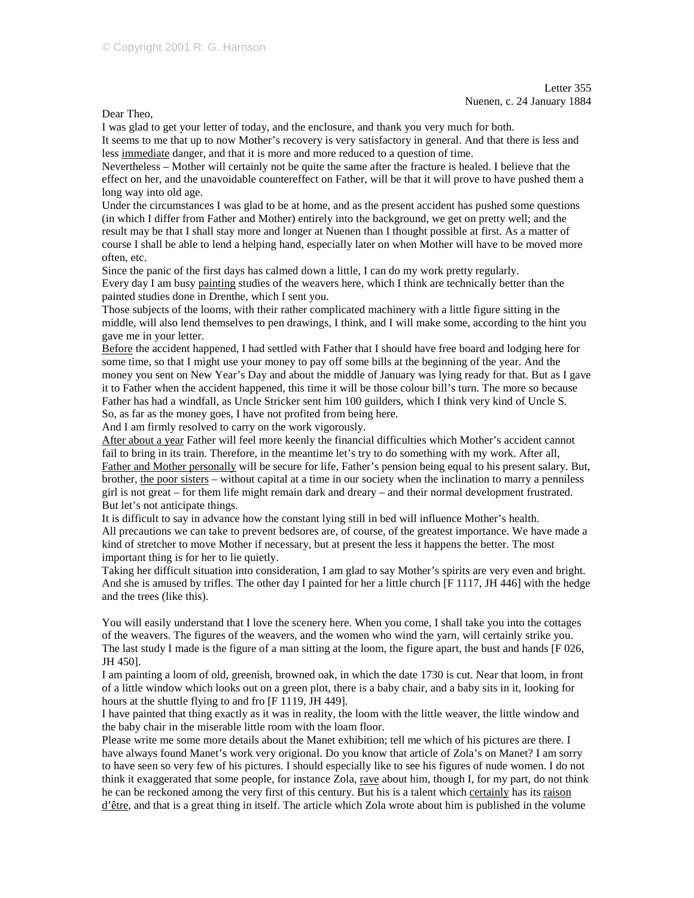Letter 355 Nuenen, c. 24 January 1884

Dear Theo,

I was glad to get your letter of today, and the enclosure, and thank you very much for both.

It seems to me that up to now Mother's recovery is very satisfactory in general. And that there is less and less immediate danger, and that it is more and more reduced to a question of time.

Nevertheless – Mother will certainly not be quite the same after the fracture is healed. I believe that the effect on her, and the unavoidable countereffect on Father, will be that it will prove to have pushed them a long way into old age.

Under the circumstances I was glad to be at home, and as the present accident has pushed some questions (in which I differ from Father and Mother) entirely into the background, we get on pretty well; and the result may be that I shall stay more and longer at Nuenen than I thought possible at first. As a matter of course I shall be able to lend a helping hand, especially later on when Mother will have to be moved more often, etc.

Since the panic of the first days has calmed down a little, I can do my work pretty regularly. Every day I am busy painting studies of the weavers here, which I think are technically better than the painted studies done in Drenthe, which I sent you.

Those subjects of the looms, with their rather complicated machinery with a little figure sitting in the middle, will also lend themselves to pen drawings, I think, and I will make some, according to the hint you gave me in your letter.

Before the accident happened, I had settled with Father that I should have free board and lodging here for some time, so that I might use your money to pay off some bills at the beginning of the year. And the money you sent on New Year's Day and about the middle of January was lying ready for that. But as I gave it to Father when the accident happened, this time it will be those colour bill's turn. The more so because Father has had a windfall, as Uncle Stricker sent him 100 guilders, which I think very kind of Uncle S. So, as far as the money goes, I have not profited from being here.

And I am firmly resolved to carry on the work vigorously.

After about a year Father will feel more keenly the financial difficulties which Mother's accident cannot fail to bring in its train. Therefore, in the meantime let's try to do something with my work. After all, Father and Mother personally will be secure for life, Father's pension being equal to his present salary. But, brother, the poor sisters – without capital at a time in our society when the inclination to marry a penniless girl is not great – for them life might remain dark and dreary – and their normal development frustrated. But let's not anticipate things.

It is difficult to say in advance how the constant lying still in bed will influence Mother's health. All precautions we can take to prevent bedsores are, of course, of the greatest importance. We have made a kind of stretcher to move Mother if necessary, but at present the less it happens the better. The most important thing is for her to lie quietly.

Taking her difficult situation into consideration, I am glad to say Mother's spirits are very even and bright. And she is amused by trifles. The other day I painted for her a little church [F 1117, JH 446] with the hedge and the trees (like this).

You will easily understand that I love the scenery here. When you come, I shall take you into the cottages of the weavers. The figures of the weavers, and the women who wind the yarn, will certainly strike you. The last study I made is the figure of a man sitting at the loom, the figure apart, the bust and hands [F 026, JH 450].

I am painting a loom of old, greenish, browned oak, in which the date 1730 is cut. Near that loom, in front of a little window which looks out on a green plot, there is a baby chair, and a baby sits in it, looking for hours at the shuttle flying to and fro [F 1119, JH 449].

I have painted that thing exactly as it was in reality, the loom with the little weaver, the little window and the baby chair in the miserable little room with the loam floor.

Please write me some more details about the Manet exhibition; tell me which of his pictures are there. I have always found Manet's work very origional. Do you know that article of Zola's on Manet? I am sorry to have seen so very few of his pictures. I should especially like to see his figures of nude women. I do not think it exaggerated that some people, for instance Zola, rave about him, though I, for my part, do not think he can be reckoned among the very first of this century. But his is a talent which certainly has its raison d'être, and that is a great thing in itself. The article which Zola wrote about him is published in the volume